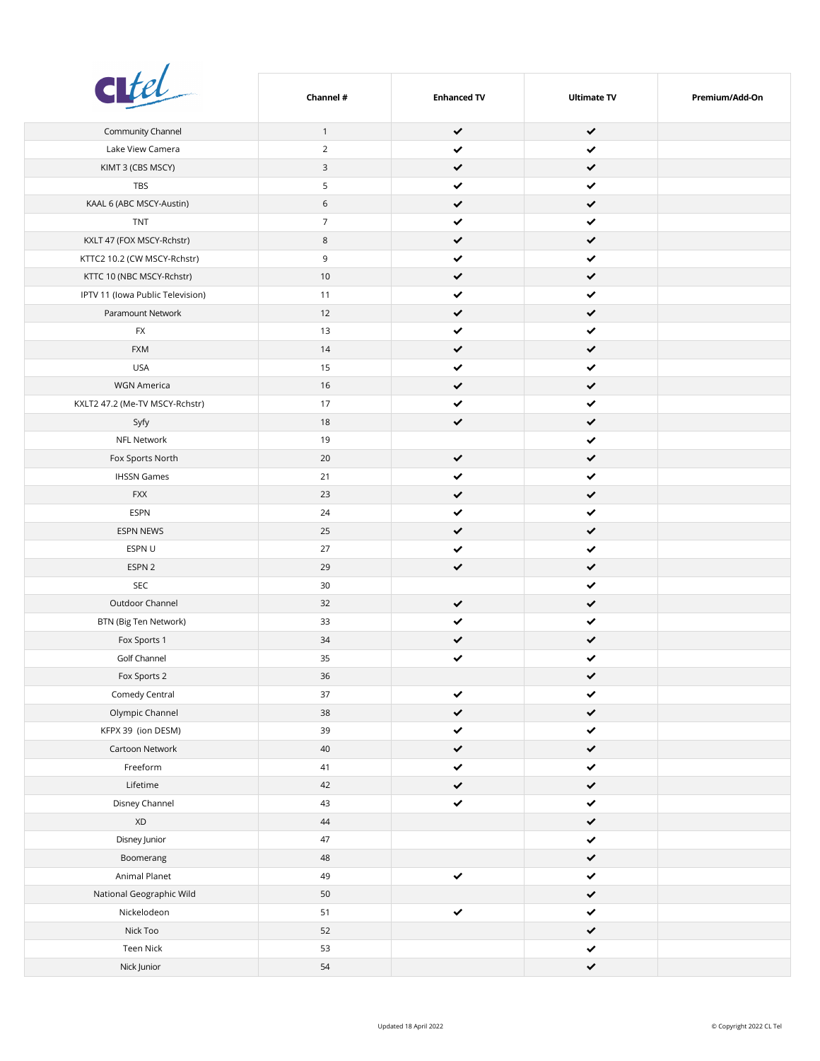| citel                            | Channel #      | <b>Enhanced TV</b> | <b>Ultimate TV</b> | Premium/Add-On |
|----------------------------------|----------------|--------------------|--------------------|----------------|
| Community Channel                | $\mathbf{1}$   | $\checkmark$       | $\checkmark$       |                |
| Lake View Camera                 | $\overline{2}$ | ✓                  | $\checkmark$       |                |
| KIMT 3 (CBS MSCY)                | 3              | ✔                  | $\checkmark$       |                |
| TBS                              | 5              | ✔                  | $\checkmark$       |                |
| KAAL 6 (ABC MSCY-Austin)         | 6              | ✔                  | $\checkmark$       |                |
| <b>TNT</b>                       | $\overline{7}$ | ✔                  | $\checkmark$       |                |
| KXLT 47 (FOX MSCY-Rchstr)        | 8              | $\checkmark$       | $\checkmark$       |                |
| KTTC2 10.2 (CW MSCY-Rchstr)      | 9              | ✔                  | $\checkmark$       |                |
| KTTC 10 (NBC MSCY-Rchstr)        | 10             | ✔                  | $\checkmark$       |                |
| IPTV 11 (Iowa Public Television) | 11             | ✔                  | $\checkmark$       |                |
| Paramount Network                | 12             | $\checkmark$       | $\checkmark$       |                |
| <b>FX</b>                        | 13             | $\checkmark$       | $\checkmark$       |                |
| <b>FXM</b>                       | 14             | $\checkmark$       | $\checkmark$       |                |
| <b>USA</b>                       | 15             | $\checkmark$       | $\checkmark$       |                |
| <b>WGN America</b>               | 16             | $\checkmark$       | $\checkmark$       |                |
| KXLT2 47.2 (Me-TV MSCY-Rchstr)   | 17             | ✔                  | $\checkmark$       |                |
| Syfy                             | 18             | ✔                  | $\checkmark$       |                |
| NFL Network                      | 19             |                    | ✔                  |                |
| Fox Sports North                 | $20\,$         | $\checkmark$       | $\checkmark$       |                |
| <b>IHSSN Games</b>               | 21             | $\checkmark$       | $\checkmark$       |                |
| <b>FXX</b>                       | 23             | ✔                  | $\checkmark$       |                |
| ESPN                             | 24             | ✔                  | $\checkmark$       |                |
| <b>ESPN NEWS</b>                 | 25             | ✔                  | $\checkmark$       |                |
| ESPN U                           | 27             | ✔                  | $\checkmark$       |                |
| ESPN 2                           | 29             | ✔                  | $\checkmark$       |                |
| SEC                              | 30             |                    | ✔                  |                |
| Outdoor Channel                  | 32             | $\checkmark$       | $\checkmark$       |                |
| BTN (Big Ten Network)            | 33             | ✔                  | $\checkmark$       |                |
| Fox Sports 1                     | 34             | ✔                  | $\checkmark$       |                |
| Golf Channel                     | 35             |                    | ◢                  |                |
| Fox Sports 2                     | 36             |                    | $\checkmark$       |                |
| Comedy Central                   | 37             | $\checkmark$       | $\checkmark$       |                |
| Olympic Channel                  | $38\,$         | $\checkmark$       | $\checkmark$       |                |
| KFPX 39 (ion DESM)               | 39             | $\checkmark$       | $\checkmark$       |                |
| Cartoon Network                  | $40\,$         | $\checkmark$       | $\checkmark$       |                |
| Freeform                         | 41             | $\checkmark$       | $\checkmark$       |                |
| Lifetime                         | 42             | $\checkmark$       | $\checkmark$       |                |
| Disney Channel                   | 43             | $\checkmark$       | $\checkmark$       |                |
| $\mathsf{X}\mathsf{D}$           | $44\,$         |                    | $\checkmark$       |                |
| Disney Junior                    | $47\,$         |                    | $\checkmark$       |                |
| Boomerang                        | $48\,$         |                    | $\checkmark$       |                |
| Animal Planet                    | 49             | $\checkmark$       | $\checkmark$       |                |
| National Geographic Wild         | $50\,$         |                    | $\checkmark$       |                |
| Nickelodeon                      | 51             | $\checkmark$       | $\checkmark$       |                |
| Nick Too                         | 52             |                    | $\checkmark$       |                |
| Teen Nick                        | 53             |                    | $\checkmark$       |                |
| Nick Junior                      | $54\,$         |                    | $\checkmark$       |                |
|                                  |                |                    |                    |                |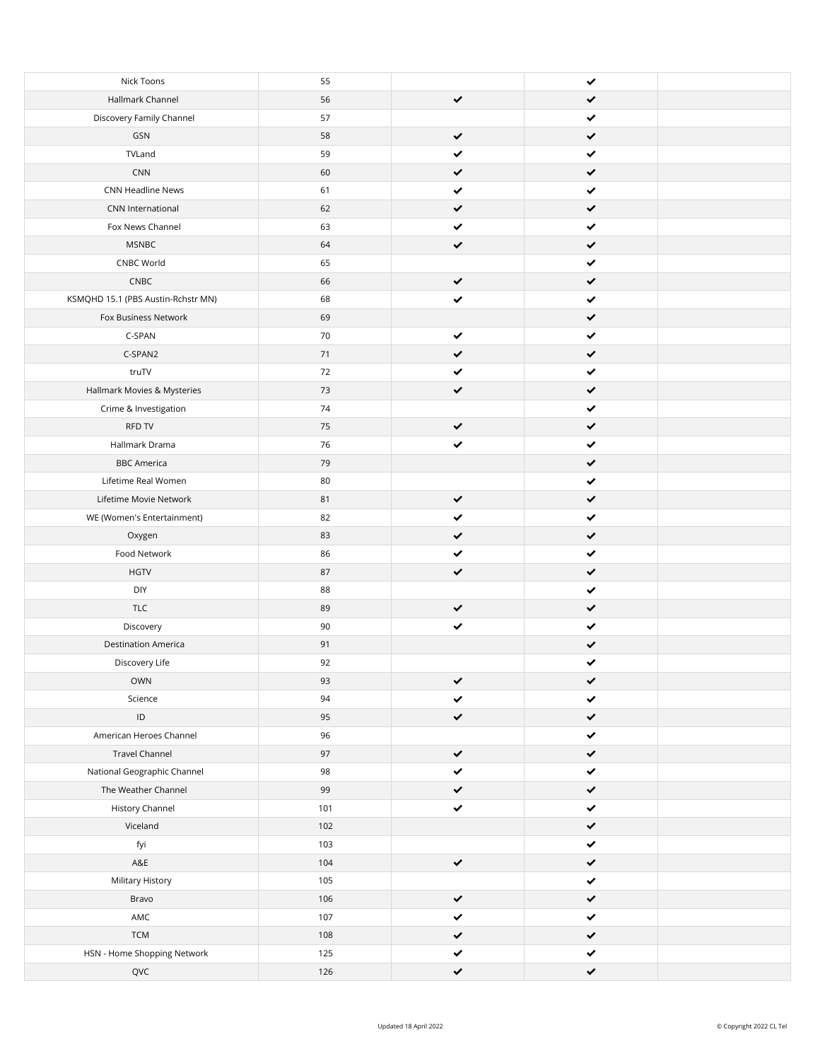| Nick Toons                         | 55  |              | ✔            |  |
|------------------------------------|-----|--------------|--------------|--|
| Hallmark Channel                   | 56  | $\checkmark$ | $\checkmark$ |  |
| Discovery Family Channel           | 57  |              | ✔            |  |
| GSN                                | 58  | ✓            | $\checkmark$ |  |
| TVLand                             | 59  | ✔            | ✔            |  |
| CNN                                | 60  | ✔            | $\checkmark$ |  |
| CNN Headline News                  | 61  |              | ✔            |  |
| CNN International                  | 62  |              | $\checkmark$ |  |
| Fox News Channel                   | 63  |              | ✔            |  |
| <b>MSNBC</b>                       | 64  | ✓            | $\checkmark$ |  |
| CNBC World                         | 65  |              | ✔            |  |
| CNEC                               | 66  | ✔            | $\checkmark$ |  |
| KSMQHD 15.1 (PBS Austin-Rchstr MN) | 68  | ✔            | ✔            |  |
| Fox Business Network               | 69  |              | $\checkmark$ |  |
| C-SPAN                             | 70  | ✔            | $\checkmark$ |  |
| C-SPAN2                            | 71  | ✔            | $\checkmark$ |  |
| truTV                              | 72  | ✔            | ✔            |  |
| Hallmark Movies & Mysteries        | 73  | $\checkmark$ | $\checkmark$ |  |
| Crime & Investigation              | 74  |              | ✔            |  |
| RFD TV                             | 75  | ✔            | $\checkmark$ |  |
| Hallmark Drama                     | 76  | ✔            | ✔            |  |
| <b>BBC</b> America                 | 79  |              | $\checkmark$ |  |
|                                    |     |              |              |  |
| Lifetime Real Women                | 80  |              | ✔            |  |
| Lifetime Movie Network             | 81  | ✔            | $\checkmark$ |  |
| WE (Women's Entertainment)         | 82  | ✔            | ✓            |  |
| Oxygen                             | 83  | ✔            | $\checkmark$ |  |
| Food Network                       | 86  | ✔            | $\checkmark$ |  |
| <b>HGTV</b>                        | 87  | ✔            | $\checkmark$ |  |
| DIY                                | 88  |              | ✔            |  |
| <b>TLC</b>                         | 89  | ✓            | $\checkmark$ |  |
| Discovery                          | 90  | ✔            | ✔            |  |
| <b>Destination America</b>         | 91  |              | ✔            |  |
| Discovery Life                     | 92  |              | ✔            |  |
| OWN                                | 93  | ✓            | ✔            |  |
| Science                            | 94  | ✔            | ✓            |  |
| ID                                 | 95  | ✔            | $\checkmark$ |  |
| American Heroes Channel            | 96  |              | ✔            |  |
| <b>Travel Channel</b>              | 97  | ✔            | $\checkmark$ |  |
| National Geographic Channel        | 98  | $\checkmark$ | $\checkmark$ |  |
| The Weather Channel                | 99  | ✔            | $\checkmark$ |  |
| <b>History Channel</b>             | 101 | $\checkmark$ | $\checkmark$ |  |
| Viceland                           | 102 |              | $\checkmark$ |  |
| fyi                                | 103 |              | $\checkmark$ |  |
| $\mathsf{A}\mathsf{g}\mathsf{E}$   | 104 | $\checkmark$ | $\checkmark$ |  |
| Military History                   | 105 |              | $\checkmark$ |  |
|                                    |     |              |              |  |
| Bravo                              | 106 | $\checkmark$ | $\checkmark$ |  |
| $\mathsf{AMC}$                     | 107 | $\checkmark$ | $\checkmark$ |  |
| TCM                                | 108 | ✔            | $\checkmark$ |  |
| HSN - Home Shopping Network        | 125 | ✔            | $\checkmark$ |  |
| QVC                                | 126 | ✓            | $\checkmark$ |  |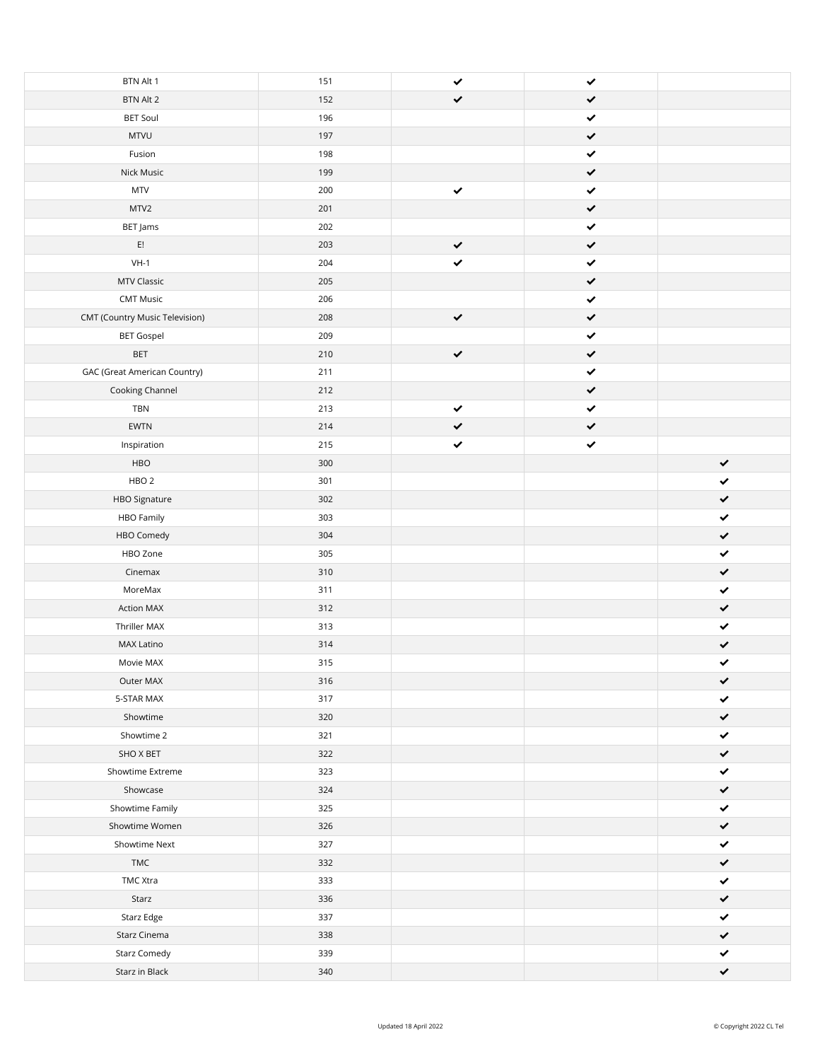| BTN Alt 1                             | 151 | ✔            | $\checkmark$ |              |
|---------------------------------------|-----|--------------|--------------|--------------|
| BTN Alt 2                             | 152 | $\checkmark$ | $\checkmark$ |              |
| <b>BET Soul</b>                       | 196 |              | $\checkmark$ |              |
| <b>MTVU</b>                           | 197 |              | $\checkmark$ |              |
| Fusion                                | 198 |              | $\checkmark$ |              |
| Nick Music                            | 199 |              | $\checkmark$ |              |
| $\ensuremath{\mathsf{MTV}}$           | 200 | $\checkmark$ | $\checkmark$ |              |
| MTV2                                  | 201 |              | $\checkmark$ |              |
| BET Jams                              | 202 |              | ✔            |              |
| $\mathsf{E}!$                         | 203 | ✔            | $\checkmark$ |              |
| $VH-1$                                | 204 | ✔            | $\checkmark$ |              |
| MTV Classic                           | 205 |              | $\checkmark$ |              |
| <b>CMT Music</b>                      | 206 |              | ✔            |              |
| <b>CMT (Country Music Television)</b> | 208 | $\checkmark$ | $\checkmark$ |              |
| <b>BET Gospel</b>                     | 209 |              | $\checkmark$ |              |
| BET                                   | 210 | $\checkmark$ | $\checkmark$ |              |
| <b>GAC (Great American Country)</b>   | 211 |              | ✔            |              |
| Cooking Channel                       | 212 |              | $\checkmark$ |              |
| TBN                                   | 213 | $\checkmark$ | $\checkmark$ |              |
| EWTN                                  | 214 | $\checkmark$ | $\checkmark$ |              |
|                                       | 215 | $\checkmark$ | $\checkmark$ |              |
| Inspiration                           |     |              |              |              |
| HBO                                   | 300 |              |              | $\checkmark$ |
| HBO <sub>2</sub>                      | 301 |              |              | ✔            |
| HBO Signature                         | 302 |              |              | ✔            |
| HBO Family                            | 303 |              |              | ✓            |
| HBO Comedy                            | 304 |              |              | $\checkmark$ |
| HBO Zone                              | 305 |              |              | $\checkmark$ |
| Cinemax                               | 310 |              |              | $\checkmark$ |
| MoreMax                               | 311 |              |              | $\checkmark$ |
| <b>Action MAX</b>                     | 312 |              |              | ✔            |
| Thriller MAX                          | 313 |              |              | ✓            |
| MAX Latino                            | 314 |              |              | ✔            |
| Movie MAX                             | 315 |              |              | ✓            |
| Outer MAX                             | 316 |              |              | ✔            |
| 5-STAR MAX                            | 317 |              |              | ✔            |
| Showtime                              | 320 |              |              | ✔            |
| Showtime 2                            | 321 |              |              | ✔            |
| SHO X BET                             | 322 |              |              | ✔            |
| Showtime Extreme                      | 323 |              |              | ✓            |
| Showcase                              | 324 |              |              | ✔            |
| Showtime Family                       | 325 |              |              | ✔            |
| Showtime Women                        | 326 |              |              | ✓            |
| Showtime Next                         | 327 |              |              | ✔            |
| TMC                                   | 332 |              |              | ✔            |
| TMC Xtra                              | 333 |              |              | ✔            |
| Starz                                 | 336 |              |              | ✓            |
| Starz Edge                            | 337 |              |              | ✔            |
| Starz Cinema                          | 338 |              |              | ✔            |
| <b>Starz Comedy</b>                   | 339 |              |              | $\checkmark$ |
| Starz in Black                        | 340 |              |              | $\checkmark$ |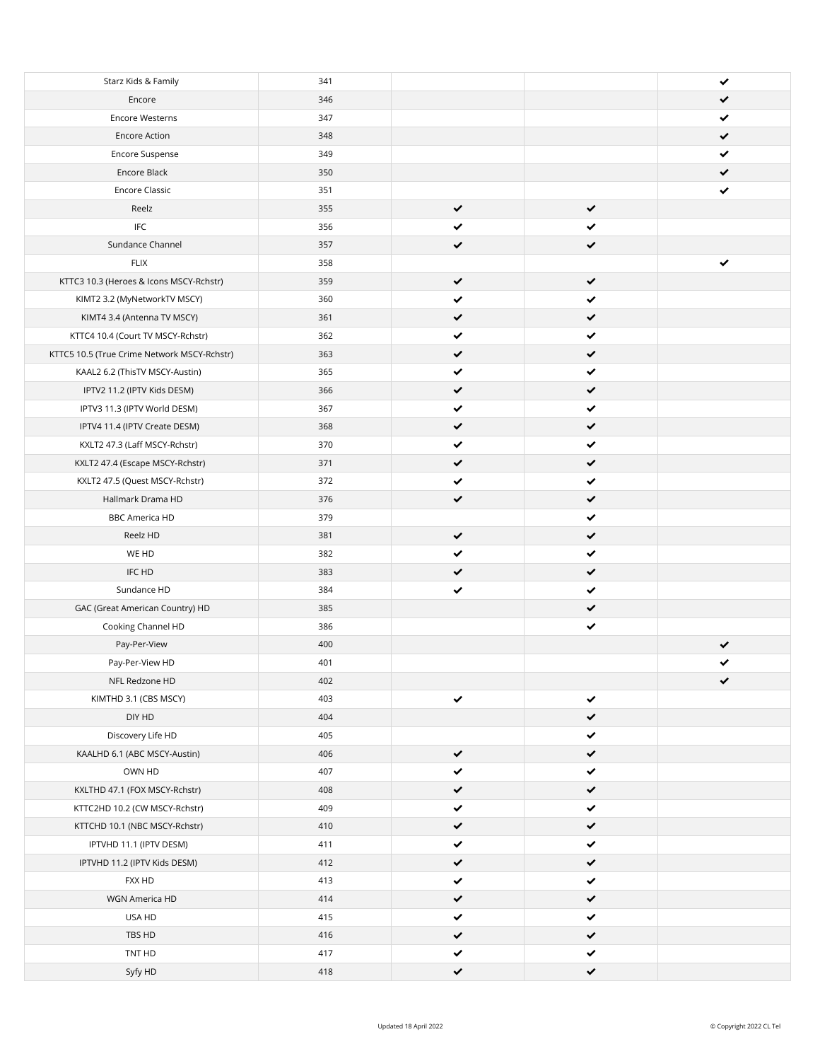| Starz Kids & Family                         | 341 |              |              | ✔ |
|---------------------------------------------|-----|--------------|--------------|---|
| Encore                                      | 346 |              |              | ✔ |
| <b>Encore Westerns</b>                      | 347 |              |              | ✔ |
| <b>Encore Action</b>                        | 348 |              |              | ✔ |
| Encore Suspense                             | 349 |              |              | ✔ |
| Encore Black                                | 350 |              |              | ✔ |
| <b>Encore Classic</b>                       | 351 |              |              | ✔ |
| Reelz                                       | 355 | $\checkmark$ | ✔            |   |
| $\ensuremath{\mathsf{IFC}}$                 | 356 | ✓            | ✔            |   |
| Sundance Channel                            | 357 | ✔            | ✔            |   |
| <b>FLIX</b>                                 | 358 |              |              | ✔ |
| KTTC3 10.3 (Heroes & Icons MSCY-Rchstr)     | 359 | ✔            | ✔            |   |
| KIMT2 3.2 (MyNetworkTV MSCY)                | 360 | ✓            | ✔            |   |
| KIMT4 3.4 (Antenna TV MSCY)                 | 361 | ✔            | $\checkmark$ |   |
| KTTC4 10.4 (Court TV MSCY-Rchstr)           | 362 | ✔            | $\checkmark$ |   |
| KTTC5 10.5 (True Crime Network MSCY-Rchstr) | 363 |              | $\checkmark$ |   |
| KAAL2 6.2 (ThisTV MSCY-Austin)              | 365 |              | ✓            |   |
| IPTV2 11.2 (IPTV Kids DESM)                 | 366 | ✔            | $\checkmark$ |   |
| IPTV3 11.3 (IPTV World DESM)                | 367 | ✔            | ✔            |   |
| IPTV4 11.4 (IPTV Create DESM)               | 368 | ✔            | $\checkmark$ |   |
| KXLT2 47.3 (Laff MSCY-Rchstr)               | 370 | ✓            | ✓            |   |
| KXLT2 47.4 (Escape MSCY-Rchstr)             | 371 | ✔            | $\checkmark$ |   |
| KXLT2 47.5 (Quest MSCY-Rchstr)              | 372 |              | ✔            |   |
| Hallmark Drama HD                           | 376 | ✔            | ✔            |   |
| <b>BBC America HD</b>                       | 379 |              | ✔            |   |
| Reelz HD                                    | 381 | ✔            | $\checkmark$ |   |
| WE HD                                       | 382 | ✓            | ✔            |   |
| IFC HD                                      | 383 | ✔            | ✔            |   |
| Sundance HD                                 | 384 | ✔            | ✔            |   |
| GAC (Great American Country) HD             | 385 |              | $\checkmark$ |   |
| Cooking Channel HD                          | 386 |              | ✔            |   |
| Pay-Per-View                                | 400 |              |              | ✔ |
| Pay-Per-View HD                             | 401 |              |              | ✓ |
| NFL Redzone HD                              | 402 |              |              | ✔ |
| KIMTHD 3.1 (CBS MSCY)                       | 403 | ✔            | ✔            |   |
| DIY HD                                      | 404 |              | $\checkmark$ |   |
| Discovery Life HD                           | 405 |              | ✔            |   |
| KAALHD 6.1 (ABC MSCY-Austin)                | 406 | $\checkmark$ | $\checkmark$ |   |
| OWN HD                                      | 407 | ✔            | ✔            |   |
| KXLTHD 47.1 (FOX MSCY-Rchstr)               | 408 | ✔            | $\checkmark$ |   |
| KTTC2HD 10.2 (CW MSCY-Rchstr)               | 409 | ✔            | ✔            |   |
| KTTCHD 10.1 (NBC MSCY-Rchstr)               | 410 | $\checkmark$ | $\checkmark$ |   |
| IPTVHD 11.1 (IPTV DESM)                     | 411 | ✔            | ✓            |   |
| IPTVHD 11.2 (IPTV Kids DESM)                | 412 | ✔            | ✓            |   |
| FXX HD                                      | 413 | ✔            | ✓            |   |
| WGN America HD                              | 414 | ✔            | $\checkmark$ |   |
| USA HD                                      | 415 | ✔            | ✓            |   |
| TBS HD                                      | 416 | ✔            | $\checkmark$ |   |
| TNT HD                                      | 417 | ✔            | ✓            |   |
| Syfy HD                                     | 418 | $\checkmark$ | $\checkmark$ |   |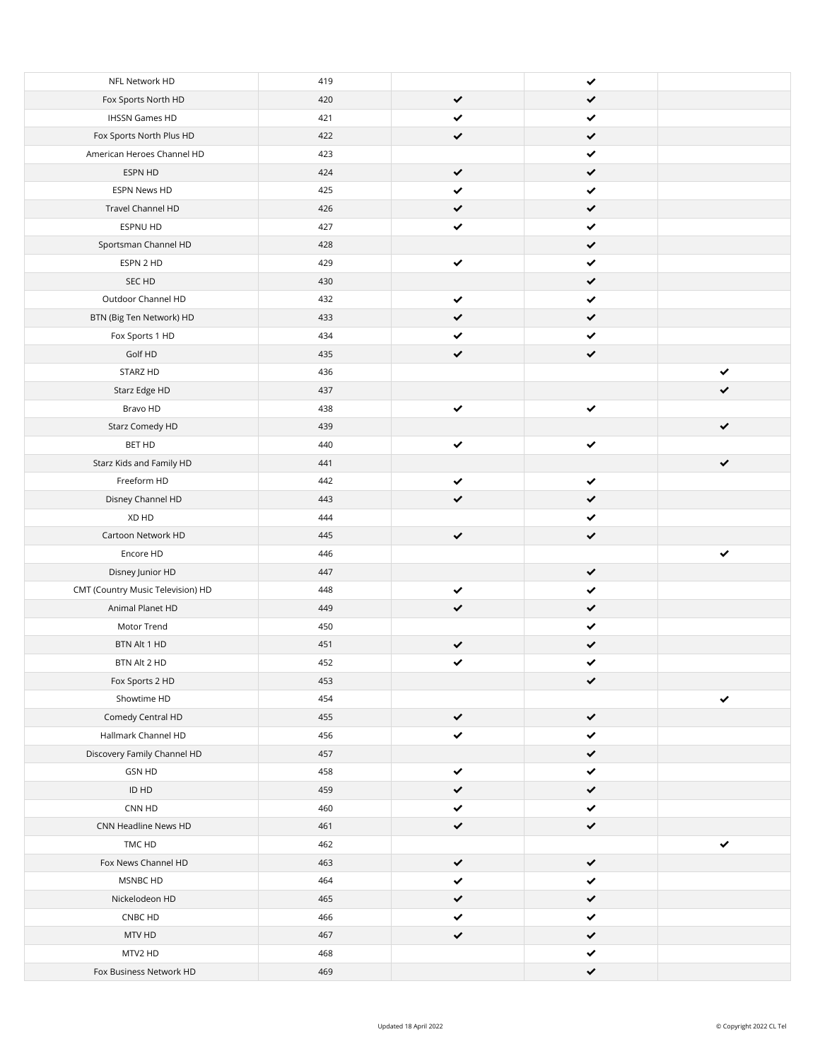| Fox Sports North HD<br>420<br>✓<br>✔<br><b>IHSSN Games HD</b><br>421<br>✔<br>✔<br>Fox Sports North Plus HD<br>422<br>$\checkmark$<br>✔<br>American Heroes Channel HD<br>423<br>✔<br>ESPN HD<br>424<br>$\checkmark$<br>✔<br>425<br>ESPN News HD<br>✔<br>✔<br>Travel Channel HD<br>426<br>✔<br>ESPNU HD<br>427<br>✔<br>Sportsman Channel HD<br>428<br>$\checkmark$<br>ESPN 2 HD<br>429<br>✔<br>✔<br>SEC HD<br>430<br>$\checkmark$<br>Outdoor Channel HD<br>432<br>✔<br>✔<br>$\checkmark$<br>433<br>BTN (Big Ten Network) HD<br>✔<br>434<br>✔<br>Fox Sports 1 HD<br>✔<br>$\checkmark$<br>Golf HD<br>435<br>✔<br>STARZ HD<br>436<br>✔<br>Starz Edge HD<br>437<br>✔<br>Bravo HD<br>438<br>✔<br>✔<br>Starz Comedy HD<br>439<br>✔<br>BET HD<br>440<br>✔<br>✔<br>Starz Kids and Family HD<br>441<br>✔<br>Freeform HD<br>442<br>✔<br>✔<br>Disney Channel HD<br>443<br>$\checkmark$<br>✓<br>XD HD<br>444<br>✔<br>$\checkmark$<br>Cartoon Network HD<br>445<br>$\checkmark$<br>Encore HD<br>446<br>✓<br>Disney Junior HD<br>447<br>$\checkmark$<br>CMT (Country Music Television) HD<br>448<br>✔<br>✔<br>Animal Planet HD<br>449<br>$\checkmark$<br>✔<br>Motor Trend<br>450<br>✔<br>BTN Alt 1 HD<br>451<br>✔<br>✔<br>452<br>✔<br>BTN Alt 2 HD<br>✔<br>Fox Sports 2 HD<br>453<br>✔<br>Showtime HD<br>454<br>✔<br>Comedy Central HD<br>455<br>$\checkmark$<br>$\checkmark$<br>Hallmark Channel HD<br>456<br>$\checkmark$<br>✔<br>$\checkmark$<br>Discovery Family Channel HD<br>457<br>$\checkmark$<br>GSN HD<br>458<br>✔<br>ID HD<br>459<br>$\checkmark$<br>✔<br>$\checkmark$<br>460<br>CNN HD<br>✔<br>CNN Headline News HD<br>461<br>$\checkmark$<br>$\checkmark$<br>462<br>TMC HD<br>$\checkmark$<br>Fox News Channel HD<br>463<br>$\checkmark$<br>✔<br>464<br>$\checkmark$<br>MSNBC HD<br>✔<br>Nickelodeon HD<br>465<br>$\checkmark$<br>$\checkmark$<br>466<br>$\checkmark$<br>CNBC HD<br>✔<br>MTV HD<br>467<br>$\checkmark$<br>$\checkmark$<br>MTV2 HD<br>468<br>$\checkmark$<br>Fox Business Network HD<br>469<br>$\checkmark$ |                |     |   |  |
|-------------------------------------------------------------------------------------------------------------------------------------------------------------------------------------------------------------------------------------------------------------------------------------------------------------------------------------------------------------------------------------------------------------------------------------------------------------------------------------------------------------------------------------------------------------------------------------------------------------------------------------------------------------------------------------------------------------------------------------------------------------------------------------------------------------------------------------------------------------------------------------------------------------------------------------------------------------------------------------------------------------------------------------------------------------------------------------------------------------------------------------------------------------------------------------------------------------------------------------------------------------------------------------------------------------------------------------------------------------------------------------------------------------------------------------------------------------------------------------------------------------------------------------------------------------------------------------------------------------------------------------------------------------------------------------------------------------------------------------------------------------------------------------------------------------------------------------------------------------------------------------------------------------------------------------------------------------------------------------------------------------------------|----------------|-----|---|--|
|                                                                                                                                                                                                                                                                                                                                                                                                                                                                                                                                                                                                                                                                                                                                                                                                                                                                                                                                                                                                                                                                                                                                                                                                                                                                                                                                                                                                                                                                                                                                                                                                                                                                                                                                                                                                                                                                                                                                                                                                                         | NFL Network HD | 419 | ✔ |  |
|                                                                                                                                                                                                                                                                                                                                                                                                                                                                                                                                                                                                                                                                                                                                                                                                                                                                                                                                                                                                                                                                                                                                                                                                                                                                                                                                                                                                                                                                                                                                                                                                                                                                                                                                                                                                                                                                                                                                                                                                                         |                |     |   |  |
|                                                                                                                                                                                                                                                                                                                                                                                                                                                                                                                                                                                                                                                                                                                                                                                                                                                                                                                                                                                                                                                                                                                                                                                                                                                                                                                                                                                                                                                                                                                                                                                                                                                                                                                                                                                                                                                                                                                                                                                                                         |                |     |   |  |
|                                                                                                                                                                                                                                                                                                                                                                                                                                                                                                                                                                                                                                                                                                                                                                                                                                                                                                                                                                                                                                                                                                                                                                                                                                                                                                                                                                                                                                                                                                                                                                                                                                                                                                                                                                                                                                                                                                                                                                                                                         |                |     |   |  |
|                                                                                                                                                                                                                                                                                                                                                                                                                                                                                                                                                                                                                                                                                                                                                                                                                                                                                                                                                                                                                                                                                                                                                                                                                                                                                                                                                                                                                                                                                                                                                                                                                                                                                                                                                                                                                                                                                                                                                                                                                         |                |     |   |  |
|                                                                                                                                                                                                                                                                                                                                                                                                                                                                                                                                                                                                                                                                                                                                                                                                                                                                                                                                                                                                                                                                                                                                                                                                                                                                                                                                                                                                                                                                                                                                                                                                                                                                                                                                                                                                                                                                                                                                                                                                                         |                |     |   |  |
|                                                                                                                                                                                                                                                                                                                                                                                                                                                                                                                                                                                                                                                                                                                                                                                                                                                                                                                                                                                                                                                                                                                                                                                                                                                                                                                                                                                                                                                                                                                                                                                                                                                                                                                                                                                                                                                                                                                                                                                                                         |                |     |   |  |
|                                                                                                                                                                                                                                                                                                                                                                                                                                                                                                                                                                                                                                                                                                                                                                                                                                                                                                                                                                                                                                                                                                                                                                                                                                                                                                                                                                                                                                                                                                                                                                                                                                                                                                                                                                                                                                                                                                                                                                                                                         |                |     |   |  |
|                                                                                                                                                                                                                                                                                                                                                                                                                                                                                                                                                                                                                                                                                                                                                                                                                                                                                                                                                                                                                                                                                                                                                                                                                                                                                                                                                                                                                                                                                                                                                                                                                                                                                                                                                                                                                                                                                                                                                                                                                         |                |     |   |  |
|                                                                                                                                                                                                                                                                                                                                                                                                                                                                                                                                                                                                                                                                                                                                                                                                                                                                                                                                                                                                                                                                                                                                                                                                                                                                                                                                                                                                                                                                                                                                                                                                                                                                                                                                                                                                                                                                                                                                                                                                                         |                |     |   |  |
|                                                                                                                                                                                                                                                                                                                                                                                                                                                                                                                                                                                                                                                                                                                                                                                                                                                                                                                                                                                                                                                                                                                                                                                                                                                                                                                                                                                                                                                                                                                                                                                                                                                                                                                                                                                                                                                                                                                                                                                                                         |                |     |   |  |
|                                                                                                                                                                                                                                                                                                                                                                                                                                                                                                                                                                                                                                                                                                                                                                                                                                                                                                                                                                                                                                                                                                                                                                                                                                                                                                                                                                                                                                                                                                                                                                                                                                                                                                                                                                                                                                                                                                                                                                                                                         |                |     |   |  |
|                                                                                                                                                                                                                                                                                                                                                                                                                                                                                                                                                                                                                                                                                                                                                                                                                                                                                                                                                                                                                                                                                                                                                                                                                                                                                                                                                                                                                                                                                                                                                                                                                                                                                                                                                                                                                                                                                                                                                                                                                         |                |     |   |  |
|                                                                                                                                                                                                                                                                                                                                                                                                                                                                                                                                                                                                                                                                                                                                                                                                                                                                                                                                                                                                                                                                                                                                                                                                                                                                                                                                                                                                                                                                                                                                                                                                                                                                                                                                                                                                                                                                                                                                                                                                                         |                |     |   |  |
|                                                                                                                                                                                                                                                                                                                                                                                                                                                                                                                                                                                                                                                                                                                                                                                                                                                                                                                                                                                                                                                                                                                                                                                                                                                                                                                                                                                                                                                                                                                                                                                                                                                                                                                                                                                                                                                                                                                                                                                                                         |                |     |   |  |
|                                                                                                                                                                                                                                                                                                                                                                                                                                                                                                                                                                                                                                                                                                                                                                                                                                                                                                                                                                                                                                                                                                                                                                                                                                                                                                                                                                                                                                                                                                                                                                                                                                                                                                                                                                                                                                                                                                                                                                                                                         |                |     |   |  |
|                                                                                                                                                                                                                                                                                                                                                                                                                                                                                                                                                                                                                                                                                                                                                                                                                                                                                                                                                                                                                                                                                                                                                                                                                                                                                                                                                                                                                                                                                                                                                                                                                                                                                                                                                                                                                                                                                                                                                                                                                         |                |     |   |  |
|                                                                                                                                                                                                                                                                                                                                                                                                                                                                                                                                                                                                                                                                                                                                                                                                                                                                                                                                                                                                                                                                                                                                                                                                                                                                                                                                                                                                                                                                                                                                                                                                                                                                                                                                                                                                                                                                                                                                                                                                                         |                |     |   |  |
|                                                                                                                                                                                                                                                                                                                                                                                                                                                                                                                                                                                                                                                                                                                                                                                                                                                                                                                                                                                                                                                                                                                                                                                                                                                                                                                                                                                                                                                                                                                                                                                                                                                                                                                                                                                                                                                                                                                                                                                                                         |                |     |   |  |
|                                                                                                                                                                                                                                                                                                                                                                                                                                                                                                                                                                                                                                                                                                                                                                                                                                                                                                                                                                                                                                                                                                                                                                                                                                                                                                                                                                                                                                                                                                                                                                                                                                                                                                                                                                                                                                                                                                                                                                                                                         |                |     |   |  |
|                                                                                                                                                                                                                                                                                                                                                                                                                                                                                                                                                                                                                                                                                                                                                                                                                                                                                                                                                                                                                                                                                                                                                                                                                                                                                                                                                                                                                                                                                                                                                                                                                                                                                                                                                                                                                                                                                                                                                                                                                         |                |     |   |  |
|                                                                                                                                                                                                                                                                                                                                                                                                                                                                                                                                                                                                                                                                                                                                                                                                                                                                                                                                                                                                                                                                                                                                                                                                                                                                                                                                                                                                                                                                                                                                                                                                                                                                                                                                                                                                                                                                                                                                                                                                                         |                |     |   |  |
|                                                                                                                                                                                                                                                                                                                                                                                                                                                                                                                                                                                                                                                                                                                                                                                                                                                                                                                                                                                                                                                                                                                                                                                                                                                                                                                                                                                                                                                                                                                                                                                                                                                                                                                                                                                                                                                                                                                                                                                                                         |                |     |   |  |
|                                                                                                                                                                                                                                                                                                                                                                                                                                                                                                                                                                                                                                                                                                                                                                                                                                                                                                                                                                                                                                                                                                                                                                                                                                                                                                                                                                                                                                                                                                                                                                                                                                                                                                                                                                                                                                                                                                                                                                                                                         |                |     |   |  |
|                                                                                                                                                                                                                                                                                                                                                                                                                                                                                                                                                                                                                                                                                                                                                                                                                                                                                                                                                                                                                                                                                                                                                                                                                                                                                                                                                                                                                                                                                                                                                                                                                                                                                                                                                                                                                                                                                                                                                                                                                         |                |     |   |  |
|                                                                                                                                                                                                                                                                                                                                                                                                                                                                                                                                                                                                                                                                                                                                                                                                                                                                                                                                                                                                                                                                                                                                                                                                                                                                                                                                                                                                                                                                                                                                                                                                                                                                                                                                                                                                                                                                                                                                                                                                                         |                |     |   |  |
|                                                                                                                                                                                                                                                                                                                                                                                                                                                                                                                                                                                                                                                                                                                                                                                                                                                                                                                                                                                                                                                                                                                                                                                                                                                                                                                                                                                                                                                                                                                                                                                                                                                                                                                                                                                                                                                                                                                                                                                                                         |                |     |   |  |
|                                                                                                                                                                                                                                                                                                                                                                                                                                                                                                                                                                                                                                                                                                                                                                                                                                                                                                                                                                                                                                                                                                                                                                                                                                                                                                                                                                                                                                                                                                                                                                                                                                                                                                                                                                                                                                                                                                                                                                                                                         |                |     |   |  |
|                                                                                                                                                                                                                                                                                                                                                                                                                                                                                                                                                                                                                                                                                                                                                                                                                                                                                                                                                                                                                                                                                                                                                                                                                                                                                                                                                                                                                                                                                                                                                                                                                                                                                                                                                                                                                                                                                                                                                                                                                         |                |     |   |  |
|                                                                                                                                                                                                                                                                                                                                                                                                                                                                                                                                                                                                                                                                                                                                                                                                                                                                                                                                                                                                                                                                                                                                                                                                                                                                                                                                                                                                                                                                                                                                                                                                                                                                                                                                                                                                                                                                                                                                                                                                                         |                |     |   |  |
|                                                                                                                                                                                                                                                                                                                                                                                                                                                                                                                                                                                                                                                                                                                                                                                                                                                                                                                                                                                                                                                                                                                                                                                                                                                                                                                                                                                                                                                                                                                                                                                                                                                                                                                                                                                                                                                                                                                                                                                                                         |                |     |   |  |
|                                                                                                                                                                                                                                                                                                                                                                                                                                                                                                                                                                                                                                                                                                                                                                                                                                                                                                                                                                                                                                                                                                                                                                                                                                                                                                                                                                                                                                                                                                                                                                                                                                                                                                                                                                                                                                                                                                                                                                                                                         |                |     |   |  |
|                                                                                                                                                                                                                                                                                                                                                                                                                                                                                                                                                                                                                                                                                                                                                                                                                                                                                                                                                                                                                                                                                                                                                                                                                                                                                                                                                                                                                                                                                                                                                                                                                                                                                                                                                                                                                                                                                                                                                                                                                         |                |     |   |  |
|                                                                                                                                                                                                                                                                                                                                                                                                                                                                                                                                                                                                                                                                                                                                                                                                                                                                                                                                                                                                                                                                                                                                                                                                                                                                                                                                                                                                                                                                                                                                                                                                                                                                                                                                                                                                                                                                                                                                                                                                                         |                |     |   |  |
|                                                                                                                                                                                                                                                                                                                                                                                                                                                                                                                                                                                                                                                                                                                                                                                                                                                                                                                                                                                                                                                                                                                                                                                                                                                                                                                                                                                                                                                                                                                                                                                                                                                                                                                                                                                                                                                                                                                                                                                                                         |                |     |   |  |
|                                                                                                                                                                                                                                                                                                                                                                                                                                                                                                                                                                                                                                                                                                                                                                                                                                                                                                                                                                                                                                                                                                                                                                                                                                                                                                                                                                                                                                                                                                                                                                                                                                                                                                                                                                                                                                                                                                                                                                                                                         |                |     |   |  |
|                                                                                                                                                                                                                                                                                                                                                                                                                                                                                                                                                                                                                                                                                                                                                                                                                                                                                                                                                                                                                                                                                                                                                                                                                                                                                                                                                                                                                                                                                                                                                                                                                                                                                                                                                                                                                                                                                                                                                                                                                         |                |     |   |  |
|                                                                                                                                                                                                                                                                                                                                                                                                                                                                                                                                                                                                                                                                                                                                                                                                                                                                                                                                                                                                                                                                                                                                                                                                                                                                                                                                                                                                                                                                                                                                                                                                                                                                                                                                                                                                                                                                                                                                                                                                                         |                |     |   |  |
|                                                                                                                                                                                                                                                                                                                                                                                                                                                                                                                                                                                                                                                                                                                                                                                                                                                                                                                                                                                                                                                                                                                                                                                                                                                                                                                                                                                                                                                                                                                                                                                                                                                                                                                                                                                                                                                                                                                                                                                                                         |                |     |   |  |
|                                                                                                                                                                                                                                                                                                                                                                                                                                                                                                                                                                                                                                                                                                                                                                                                                                                                                                                                                                                                                                                                                                                                                                                                                                                                                                                                                                                                                                                                                                                                                                                                                                                                                                                                                                                                                                                                                                                                                                                                                         |                |     |   |  |
|                                                                                                                                                                                                                                                                                                                                                                                                                                                                                                                                                                                                                                                                                                                                                                                                                                                                                                                                                                                                                                                                                                                                                                                                                                                                                                                                                                                                                                                                                                                                                                                                                                                                                                                                                                                                                                                                                                                                                                                                                         |                |     |   |  |
|                                                                                                                                                                                                                                                                                                                                                                                                                                                                                                                                                                                                                                                                                                                                                                                                                                                                                                                                                                                                                                                                                                                                                                                                                                                                                                                                                                                                                                                                                                                                                                                                                                                                                                                                                                                                                                                                                                                                                                                                                         |                |     |   |  |
|                                                                                                                                                                                                                                                                                                                                                                                                                                                                                                                                                                                                                                                                                                                                                                                                                                                                                                                                                                                                                                                                                                                                                                                                                                                                                                                                                                                                                                                                                                                                                                                                                                                                                                                                                                                                                                                                                                                                                                                                                         |                |     |   |  |
|                                                                                                                                                                                                                                                                                                                                                                                                                                                                                                                                                                                                                                                                                                                                                                                                                                                                                                                                                                                                                                                                                                                                                                                                                                                                                                                                                                                                                                                                                                                                                                                                                                                                                                                                                                                                                                                                                                                                                                                                                         |                |     |   |  |
|                                                                                                                                                                                                                                                                                                                                                                                                                                                                                                                                                                                                                                                                                                                                                                                                                                                                                                                                                                                                                                                                                                                                                                                                                                                                                                                                                                                                                                                                                                                                                                                                                                                                                                                                                                                                                                                                                                                                                                                                                         |                |     |   |  |
|                                                                                                                                                                                                                                                                                                                                                                                                                                                                                                                                                                                                                                                                                                                                                                                                                                                                                                                                                                                                                                                                                                                                                                                                                                                                                                                                                                                                                                                                                                                                                                                                                                                                                                                                                                                                                                                                                                                                                                                                                         |                |     |   |  |
|                                                                                                                                                                                                                                                                                                                                                                                                                                                                                                                                                                                                                                                                                                                                                                                                                                                                                                                                                                                                                                                                                                                                                                                                                                                                                                                                                                                                                                                                                                                                                                                                                                                                                                                                                                                                                                                                                                                                                                                                                         |                |     |   |  |
|                                                                                                                                                                                                                                                                                                                                                                                                                                                                                                                                                                                                                                                                                                                                                                                                                                                                                                                                                                                                                                                                                                                                                                                                                                                                                                                                                                                                                                                                                                                                                                                                                                                                                                                                                                                                                                                                                                                                                                                                                         |                |     |   |  |
|                                                                                                                                                                                                                                                                                                                                                                                                                                                                                                                                                                                                                                                                                                                                                                                                                                                                                                                                                                                                                                                                                                                                                                                                                                                                                                                                                                                                                                                                                                                                                                                                                                                                                                                                                                                                                                                                                                                                                                                                                         |                |     |   |  |
|                                                                                                                                                                                                                                                                                                                                                                                                                                                                                                                                                                                                                                                                                                                                                                                                                                                                                                                                                                                                                                                                                                                                                                                                                                                                                                                                                                                                                                                                                                                                                                                                                                                                                                                                                                                                                                                                                                                                                                                                                         |                |     |   |  |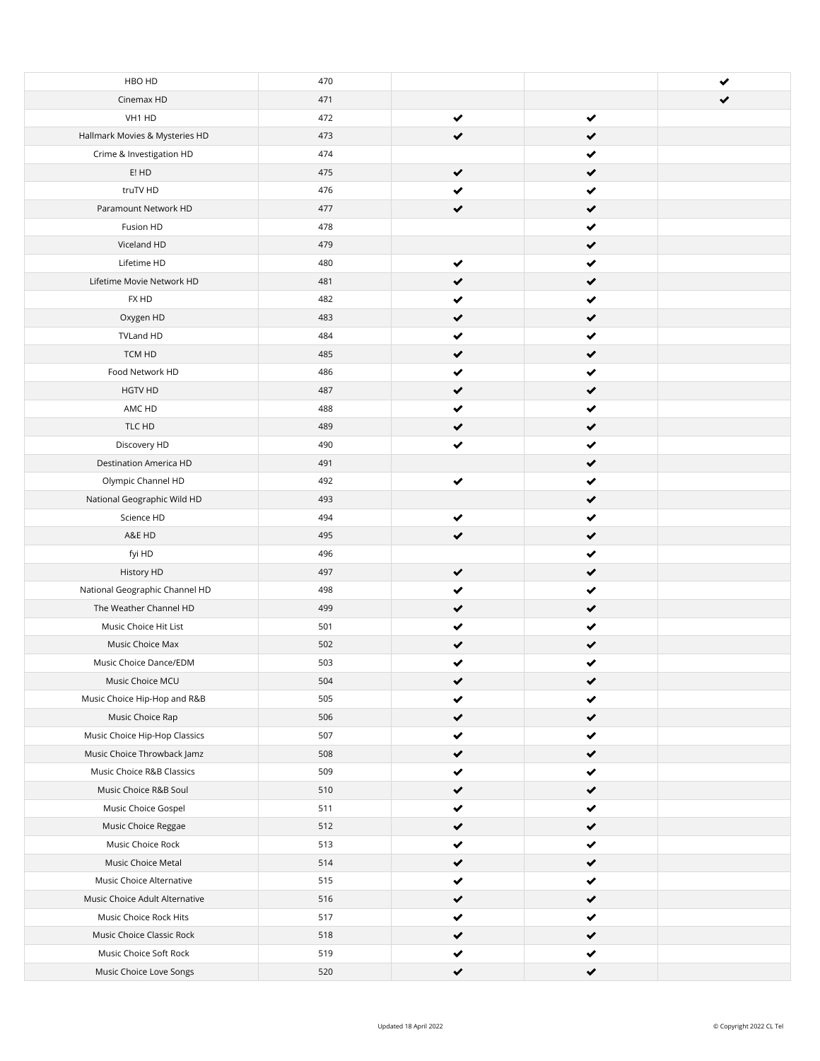| HBO HD                         | 470 |   |              |  |
|--------------------------------|-----|---|--------------|--|
| Cinemax HD                     | 471 |   |              |  |
| VH1 HD                         | 472 | ✔ | $\checkmark$ |  |
| Hallmark Movies & Mysteries HD | 473 | ✔ | ✔            |  |
| Crime & Investigation HD       | 474 |   | ✔            |  |
| E! HD                          | 475 | ✔ | ✔            |  |
| truTV HD                       | 476 |   | ✔            |  |
| Paramount Network HD           | 477 |   | ✔            |  |
| Fusion HD                      | 478 |   | ✔            |  |
| Viceland HD                    | 479 |   | ✔            |  |
| Lifetime HD                    | 480 | ✔ | ✔            |  |
| Lifetime Movie Network HD      | 481 |   | ✔            |  |
| FX HD                          | 482 | ✔ | ✔            |  |
| Oxygen HD                      | 483 | ✔ | $\checkmark$ |  |
| TVLand HD                      | 484 | ✔ | ✔            |  |
| TCM HD                         | 485 |   | ✔            |  |
| Food Network HD                | 486 |   | ✔            |  |
| HGTV HD                        | 487 | ✔ | ✔            |  |
| AMC HD                         | 488 |   | ✔            |  |
| TLC HD                         | 489 |   | ✔            |  |
| Discovery HD                   | 490 |   | ✔            |  |
| Destination America HD         | 491 |   | $\checkmark$ |  |
| Olympic Channel HD             | 492 | ✔ | ✔            |  |
| National Geographic Wild HD    | 493 |   | ✔            |  |
| Science HD                     | 494 | ✔ | ✔            |  |
| A&E HD                         | 495 | ✔ | ✔            |  |
| fyi HD                         | 496 |   | ✔            |  |
| History HD                     | 497 | ✔ | ✔            |  |
| National Geographic Channel HD | 498 | ✔ | ✔            |  |
| The Weather Channel HD         | 499 | ✔ | ✔            |  |
| Music Choice Hit List          | 501 |   | ✔            |  |
| Music Choice Max               | 502 |   | ✔            |  |
| Music Choice Dance/EDM         | 503 | ✔ | ✔            |  |
| Music Choice MCU               | 504 | ✔ | ✔            |  |
| Music Choice Hip-Hop and R&B   | 505 |   | ✔            |  |
| Music Choice Rap               | 506 | ✔ | ✔            |  |
| Music Choice Hip-Hop Classics  | 507 | ✔ | ✔            |  |
| Music Choice Throwback Jamz    | 508 | ✔ | $\checkmark$ |  |
| Music Choice R&B Classics      | 509 | ✔ | ✔            |  |
| Music Choice R&B Soul          | 510 | ✔ | ✔            |  |
| Music Choice Gospel            | 511 | ✔ | ✔            |  |
| Music Choice Reggae            | 512 | ✔ | $\checkmark$ |  |
| Music Choice Rock              | 513 |   | ✔            |  |
| Music Choice Metal             | 514 | ✔ | ✔            |  |
| Music Choice Alternative       | 515 |   | ✔            |  |
| Music Choice Adult Alternative | 516 |   | ✔            |  |
| Music Choice Rock Hits         | 517 |   | ✔            |  |
| Music Choice Classic Rock      | 518 | ✔ | ✔            |  |
| Music Choice Soft Rock         | 519 |   |              |  |
| Music Choice Love Songs        | 520 | ✔ | ✔            |  |